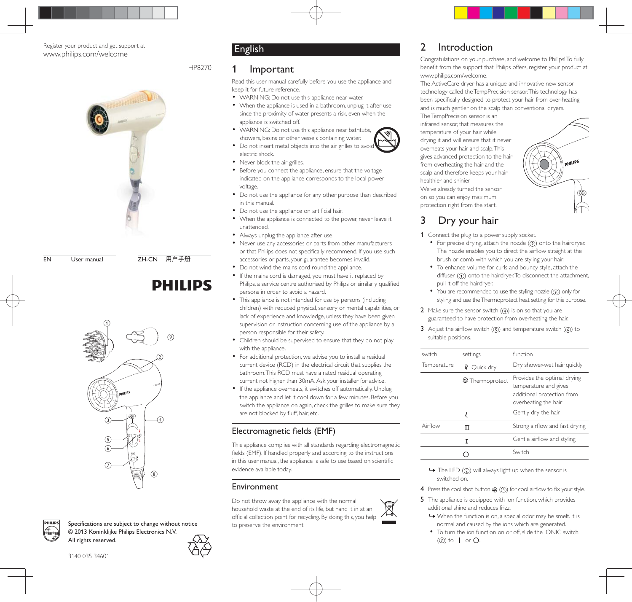#### Register your product and get support at www.philips.com/welcome



EN User manual ZH-CN 用户手册

# **PHILIPS**





Specifications are subject to change without notice  $@$  2013 Koninklijke Philips Electronics N.V. All rights reserved.



#### 3140 035 34601

# English

HP8270

#### **Important**

Read this user manual carefully before you use the appliance and keep it for future reference.

- WARNING: Do not use this appliance near water.
- When the appliance is used in a bathroom, unplug it after use since the proximity of water presents a risk, even when the appliance is switched off.
- WARNING: Do not use this appliance near bathtubs, showers, basins or other vessels containing water.
- Do not insert metal objects into the air grilles to avoid electric shock.
- Never block the air grilles.
- Before you connect the appliance, ensure that the voltage indicated on the appliance corresponds to the local power voltage.
- Do not use the appliance for any other purpose than described in this manual.
- Do not use the appliance on artificial hair.
- When the appliance is connected to the power, never leave it unattended.
- Always unplug the appliance after use.
- Never use any accessories or parts from other manufacturers or that Philips does not specifically recommend. If you use such accessories or parts, your guarantee becomes invalid.
- Do not wind the mains cord round the appliance.
- If the mains cord is damaged, you must have it replaced by Philips, a service centre authorised by Philips or similarly qualified persons in order to avoid a hazard.
- This appliance is not intended for use by persons (including children) with reduced physical, sensory or mental capabilities, or lack of experience and knowledge, unless they have been given supervision or instruction concerning use of the appliance by a person responsible for their safety.
- Children should be supervised to ensure that they do not play with the appliance.
- For additional protection, we advise you to install a residual current device (RCD) in the electrical circuit that supplies the bathroom. This RCD must have a rated residual operating current not higher than 30mA. Ask your installer for advice.
- If the appliance overheats, it switches off automatically. Unplug the appliance and let it cool down for a few minutes. Before you switch the appliance on again, check the grilles to make sure they are not blocked by fluff, hair, etc.

#### Electromagnetic fields (EMF)

This appliance complies with all standards regarding electromagnetic fields (EMF). If handled properly and according to the instructions in this user manual, the appliance is safe to use based on scientific evidence available today.

#### Environment

Do not throw away the appliance with the normal household waste at the end of its life, but hand it in at an official collection point for recycling. By doing this, you help to preserve the environment.

### 2 Introduction

Congratulations on your purchase, and welcome to Philips! To fully benefit from the support that Philips offers, register your product at www.philips.com/welcome.

The ActiveCare dryer has a unique and innovative new sensor technology called the TempPrecision sensor. This technology has been specifically designed to protect your hair from over-heating and is much gentler on the scalp than conventional dryers.

The TempPrecision sensor is an infrared sensor, that measures the temperature of your hair while drying it and will ensure that it never overheats your hair and scalp. This gives advanced protection to the hair from overheating the hair and the scalp and therefore keeps your hair healthier and shinier.

We've already turned the sensor on so you can enjoy maximum protection right from the start.

# Dry your hair

- 1 Connect the plug to a power supply socket.
	- $\bullet$  For precise drying, attach the nozzle  $(9)$  onto the hairdryer. The nozzle enables you to direct the airflow straight at the brush or comb with which you are styling your hair.
	- To enhance volume for curls and bouncy style, attach the diffuser  $(0)$  onto the hairdryer. To disconnect the attachment, pull it off the hairdryer.
	- $\bullet$  You are recommended to use the styling nozzle  $(\circledast)$  only for styling and use the Thermoprotect heat setting for this purpose.
- 2 Make sure the sensor switch  $(Q)$  is on so that you are guaranteed to have protection from overheating the hair.
- 3 Adjust the airflow switch  $(5)$  and temperature switch  $(6)$  to suitable positions.

| switch      | settings               | function                                                                                                   |
|-------------|------------------------|------------------------------------------------------------------------------------------------------------|
| Temperature | Ouick dry<br>∛         | Dry shower-wet hair quickly                                                                                |
|             | <b>2</b> Thermoprotect | Provides the optimal drying<br>temperature and gives<br>additional protection from<br>overheating the hair |
|             |                        | Gently dry the hair                                                                                        |
| Airflow     |                        | Strong airflow and fast drying                                                                             |
|             |                        | Gentle airflow and styling                                                                                 |
|             |                        | Switch                                                                                                     |

 $\rightarrow$  The LED ( $\circled{2}$ ) will always light up when the sensor is switched on.

4 Press the cool shot button  $\frac{4k}{2}$  (3) for cool airflow to fix your style.

- 5 The appliance is equipped with ion function, which provides additional shine and reduces frizz.
	- » When the function is on, a special odor may be smelt. It is normal and caused by the ions which are generated.
	- To turn the ion function on or off, slide the IONIC switch  $(⑦)$  to | or  $O$ .